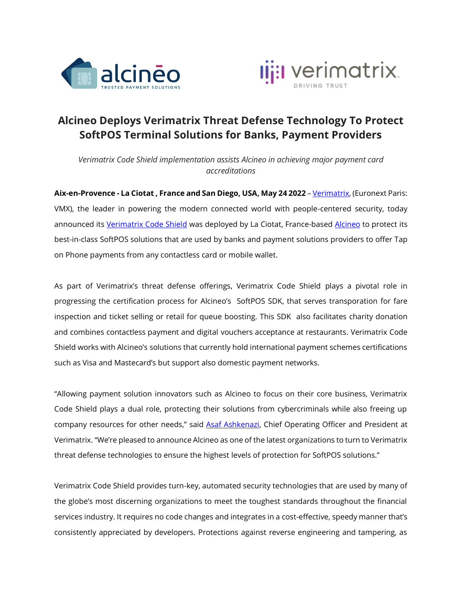



## **Alcineo Deploys Verimatrix Threat Defense Technology To Protect SoftPOS Terminal Solutions for Banks, Payment Providers**

*Verimatrix Code Shield implementation assists Alcineo in achieving major payment card accreditations*

**Aix-en-Provence - La Ciotat , France and San Diego, USA, May 24 2022** – [Verimatrix,](http://www.verimatrix.com/) (Euronext Paris: VMX), the leader in powering the modern connected world with people-centered security, today announced its [Verimatrix Code Shield](https://www.verimatrix.com/products/code-protection/) was deployed by La Ciotat, France-base[d Alcineo](http://www.alcineo.com/) to protect its best-in-class SoftPOS solutions that are used by banks and payment solutions providers to offer Tap on Phone payments from any contactless card or mobile wallet.

As part of Verimatrix's threat defense offerings, Verimatrix Code Shield plays a pivotal role in progressing the certification process for Alcineo's SoftPOS SDK, that serves transporation for fare inspection and ticket selling or retail for queue boosting. This SDK also facilitates charity donation and combines contactless payment and digital vouchers acceptance at restaurants. Verimatrix Code Shield works with Alcineo's solutions that currently hold international payment schemes certifications such as Visa and Mastecard's but support also domestic payment networks.

"Allowing payment solution innovators such as Alcineo to focus on their core business, Verimatrix Code Shield plays a dual role, protecting their solutions from cybercriminals while also freeing up company resources for other needs," said [Asaf Ashkenazi,](https://www.linkedin.com/in/asafashkenazi/) Chief Operating Officer and President at Verimatrix. "We're pleased to announce Alcineo as one of the latest organizations to turn to Verimatrix threat defense technologies to ensure the highest levels of protection for SoftPOS solutions."

Verimatrix Code Shield provides turn-key, automated security technologies that are used by many of the globe's most discerning organizations to meet the toughest standards throughout the financial services industry. It requires no code changes and integrates in a cost-effective, speedy manner that's consistently appreciated by developers. Protections against reverse engineering and tampering, as